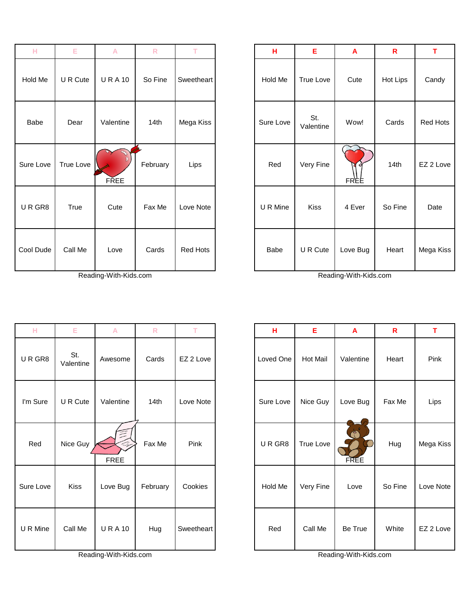| н         | Ε         | A            | $\mathsf{R}$ | т          | н         | Е                | A          | $\mathsf{R}$ | т       |
|-----------|-----------|--------------|--------------|------------|-----------|------------------|------------|--------------|---------|
| Hold Me   | U R Cute  | <b>URA10</b> | So Fine      | Sweetheart | Hold Me   | True Love        | Cute       | Hot Lips     | Candy   |
| Babe      | Dear      | Valentine    | 14th         | Mega Kiss  | Sure Love | St.<br>Valentine | Wow!       | Cards        | Red Ho  |
| Sure Love | True Love | <b>FREE</b>  | February     | Lips       | Red       | Very Fine        | Ò,<br>FREE | 14th         | EZ 2 Lo |
| URGR8     | True      | Cute         | Fax Me       | Love Note  | U R Mine  | Kiss             | 4 Ever     | So Fine      | Date    |
| Cool Dude | Call Me   | Love         | Cards        | Red Hots   | Babe      | U R Cute         | Love Bug   | Heart        | Mega Ki |

Reading-With-Kids.com Reading-With-Kids.com

| н         | Е                | $\mathsf{A}$          | ${\sf R}$ | т          | н         | Е               | A                | $\mathsf{R}$ | T         |
|-----------|------------------|-----------------------|-----------|------------|-----------|-----------------|------------------|--------------|-----------|
| URGR8     | St.<br>Valentine | Awesome               | Cards     | EZ 2 Love  | Loved One | <b>Hot Mail</b> | Valentine        | Heart        | Pink      |
| I'm Sure  | U R Cute         | Valentine             | 14th      | Love Note  | Sure Love | Nice Guy        | Love Bug         | Fax Me       | Lips      |
| Red       | Nice Guy         | 亖<br>A<br><b>FREE</b> | Fax Me    | Pink       | URGR8     | True Love       | Ó<br><b>FREE</b> | Hug          | Mega Kiss |
| Sure Love | Kiss             | Love Bug              | February  | Cookies    | Hold Me   | Very Fine       | Love             | So Fine      | Love Note |
| U R Mine  | Call Me          | <b>URA10</b>          | Hug       | Sweetheart | Red       | Call Me         | Be True          | White        | EZ 2 Love |

Reading-With-Kids.com Reading-With-Kids.com

| н         | E         | A            | $\mathsf{R}$ | T.         | н         | E                | A                | $\mathsf{R}$ | T.        |
|-----------|-----------|--------------|--------------|------------|-----------|------------------|------------------|--------------|-----------|
| Hold Me   | U R Cute  | <b>URA10</b> | So Fine      | Sweetheart | Hold Me   | True Love        | Cute             | Hot Lips     | Candy     |
| Babe      | Dear      | Valentine    | 14th         | Mega Kiss  | Sure Love | St.<br>Valentine | Wow!             | Cards        | Red Hots  |
| Sure Love | True Love | <b>FREE</b>  | February     | Lips       | Red       | Very Fine        | <b>o</b><br>FREE | 14th         | EZ 2 Love |
| URGR8     | True      | Cute         | Fax Me       | Love Note  | U R Mine  | <b>Kiss</b>      | 4 Ever           | So Fine      | Date      |
| Cool Dude | Call Me   | Love         | Cards        | Red Hots   | Babe      | U R Cute         | Love Bug         | Heart        | Mega Kiss |

| н         | Е                | A                           | $\mathsf{R}$ | T.         | Н         | Е               | A                | $\mathbf R$ | т         |
|-----------|------------------|-----------------------------|--------------|------------|-----------|-----------------|------------------|-------------|-----------|
| URGR8     | St.<br>Valentine | Awesome                     | Cards        | EZ 2 Love  | Loved One | <b>Hot Mail</b> | Valentine        | Heart       | Pink      |
| I'm Sure  | U R Cute         | Valentine                   | 14th         | Love Note  | Sure Love | Nice Guy        | Love Bug         | Fax Me      | Lips      |
| Red       | Nice Guy         | $\mathbb{Z}$<br><b>FREE</b> | Fax Me       | Pink       | URGR8     | True Love       | A<br><b>FREE</b> | Hug         | Mega Kiss |
| Sure Love | Kiss             | Love Bug                    | February     | Cookies    | Hold Me   | Very Fine       | Love             | So Fine     | Love Note |
| U R Mine  | Call Me          | <b>URA10</b>                | Hug          | Sweetheart | Red       | Call Me         | Be True          | White       | EZ 2 Love |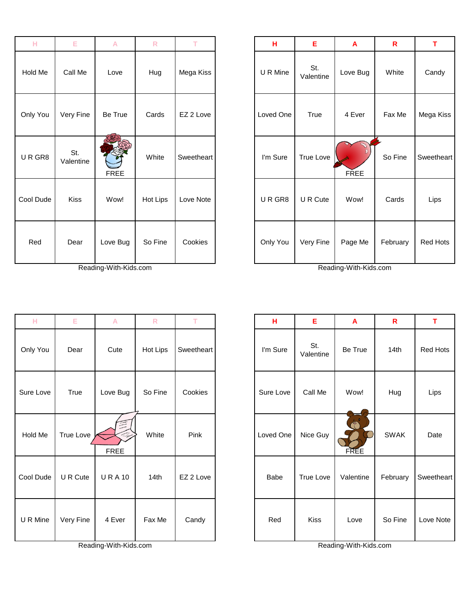| н         | Е                | A           | $\mathsf{R}$ | т          | Н         | Е                | A           | $\mathsf{R}$ | T      |
|-----------|------------------|-------------|--------------|------------|-----------|------------------|-------------|--------------|--------|
| Hold Me   | Call Me          | Love        | Hug          | Mega Kiss  | U R Mine  | St.<br>Valentine | Love Bug    | White        | Cand   |
| Only You  | Very Fine        | Be True     | Cards        | EZ 2 Love  | Loved One | True             | 4 Ever      | Fax Me       | Mega k |
| URGR8     | St.<br>Valentine | <b>FREE</b> | White        | Sweetheart | I'm Sure  | True Love        | <b>FREE</b> | So Fine      | Sweeth |
| Cool Dude | <b>Kiss</b>      | Wow!        | Hot Lips     | Love Note  | URGR8     | U R Cute         | Wow!        | Cards        | Lips   |
| Red       | Dear             | Love Bug    | So Fine      | Cookies    | Only You  | Very Fine        | Page Me     | February     | Red H  |

Reading-With-Kids.com Reading-With-Kids.com

| н         | Е         | А                     | $\mathsf{R}$ | т          | н         | Е                | A                     | R           | T.     |
|-----------|-----------|-----------------------|--------------|------------|-----------|------------------|-----------------------|-------------|--------|
| Only You  | Dear      | Cute                  | Hot Lips     | Sweetheart | I'm Sure  | St.<br>Valentine | Be True               | 14th        | Red H  |
| Sure Love | True      | Love Bug              | So Fine      | Cookies    | Sure Love | Call Me          | Wow!                  | Hug         | Lips   |
| Hold Me   | True Love | <b>FREE</b>           | White        | Pink       | Loved One | Nice Guy         | <b>FREE</b>           | <b>SWAK</b> | Date   |
| Cool Dude | U R Cute  | <b>URA10</b>          | 14th         | EZ 2 Love  | Babe      | <b>True Love</b> | Valentine             | February    | Sweeth |
| U R Mine  | Very Fine | 4 Ever                | Fax Me       | Candy      | Red       | <b>Kiss</b>      | Love                  | So Fine     | Love N |
|           |           | Reading-With-Kids.com |              |            |           |                  | Reading-With-Kids.com |             |        |

| н         | E                | A           | $\mathsf{R}$ | T.         | Н         | Е                | A           | $\mathsf{R}$ | T          |
|-----------|------------------|-------------|--------------|------------|-----------|------------------|-------------|--------------|------------|
| Hold Me   | Call Me          | Love        | Hug          | Mega Kiss  | U R Mine  | St.<br>Valentine | Love Bug    | White        | Candy      |
| Only You  | Very Fine        | Be True     | Cards        | EZ 2 Love  | Loved One | True             | 4 Ever      | Fax Me       | Mega Kiss  |
| URGR8     | St.<br>Valentine | <b>FREE</b> | White        | Sweetheart | I'm Sure  | True Love        | <b>FREE</b> | So Fine      | Sweetheart |
| Cool Dude | Kiss             | Wow!        | Hot Lips     | Love Note  | URGR8     | U R Cute         | Wow!        | Cards        | Lips       |
| Red       | Dear             | Love Bug    | So Fine      | Cookies    | Only You  | Very Fine        | Page Me     | February     | Red Hots   |

| H         | E         | $\boldsymbol{\mathsf{A}}$ | $\mathsf{R}$ | T.         | н         | Е                | $\mathbf{A}$     | $\mathsf{R}$     | T          |
|-----------|-----------|---------------------------|--------------|------------|-----------|------------------|------------------|------------------|------------|
| Only You  | Dear      | Cute                      | Hot Lips     | Sweetheart | I'm Sure  | St.<br>Valentine | Be True          | 14 <sub>th</sub> | Red Hots   |
| Sure Love | True      | Love Bug                  | So Fine      | Cookies    | Sure Love | Call Me          | Wow!             | Hug              | Lips       |
| Hold Me   | True Love | A<br><b>FREE</b>          | White        | Pink       | Loved One | Nice Guy         | Ġ<br><b>FREE</b> | <b>SWAK</b>      | Date       |
| Cool Dude | U R Cute  | <b>URA10</b>              | 14th         | EZ 2 Love  | Babe      | True Love        | Valentine        | February         | Sweetheart |
| U R Mine  | Very Fine | 4 Ever                    | Fax Me       | Candy      | Red       | <b>Kiss</b>      | Love             | So Fine          | Love Note  |